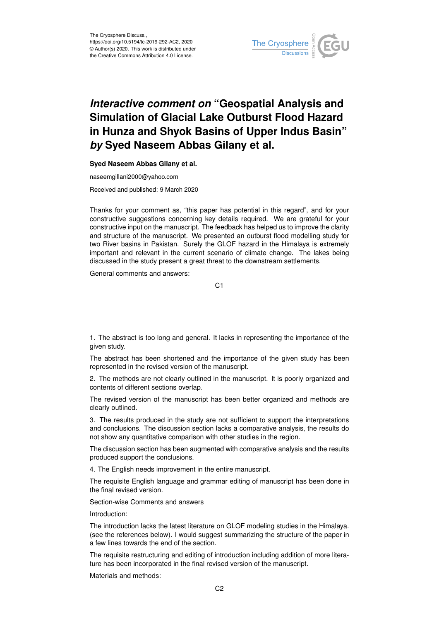

## *Interactive comment on* **"Geospatial Analysis and Simulation of Glacial Lake Outburst Flood Hazard in Hunza and Shyok Basins of Upper Indus Basin"** *by* **Syed Naseem Abbas Gilany et al.**

## **Syed Naseem Abbas Gilany et al.**

naseemgillani2000@yahoo.com

Received and published: 9 March 2020

Thanks for your comment as, "this paper has potential in this regard", and for your constructive suggestions concerning key details required. We are grateful for your constructive input on the manuscript. The feedback has helped us to improve the clarity and structure of the manuscript. We presented an outburst flood modelling study for two River basins in Pakistan. Surely the GLOF hazard in the Himalaya is extremely important and relevant in the current scenario of climate change. The lakes being discussed in the study present a great threat to the downstream settlements.

General comments and answers:

C1

1. The abstract is too long and general. It lacks in representing the importance of the given study.

The abstract has been shortened and the importance of the given study has been represented in the revised version of the manuscript.

2. The methods are not clearly outlined in the manuscript. It is poorly organized and contents of different sections overlap.

The revised version of the manuscript has been better organized and methods are clearly outlined.

3. The results produced in the study are not sufficient to support the interpretations and conclusions. The discussion section lacks a comparative analysis, the results do not show any quantitative comparison with other studies in the region.

The discussion section has been augmented with comparative analysis and the results produced support the conclusions.

4. The English needs improvement in the entire manuscript.

The requisite English language and grammar editing of manuscript has been done in the final revised version.

Section-wise Comments and answers

Introduction:

The introduction lacks the latest literature on GLOF modeling studies in the Himalaya. (see the references below). I would suggest summarizing the structure of the paper in a few lines towards the end of the section.

The requisite restructuring and editing of introduction including addition of more literature has been incorporated in the final revised version of the manuscript.

Materials and methods: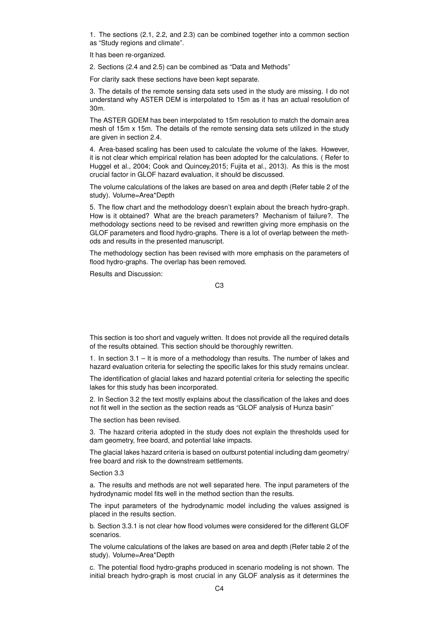1. The sections (2.1, 2.2, and 2.3) can be combined together into a common section as "Study regions and climate".

It has been re-organized.

2. Sections (2.4 and 2.5) can be combined as "Data and Methods"

For clarity sack these sections have been kept separate.

3. The details of the remote sensing data sets used in the study are missing. I do not understand why ASTER DEM is interpolated to 15m as it has an actual resolution of 30m.

The ASTER GDEM has been interpolated to 15m resolution to match the domain area mesh of 15m x 15m. The details of the remote sensing data sets utilized in the study are given in section 2.4.

4. Area-based scaling has been used to calculate the volume of the lakes. However, it is not clear which empirical relation has been adopted for the calculations. ( Refer to Huggel et al., 2004; Cook and Quincey,2015; Fujita et al., 2013). As this is the most crucial factor in GLOF hazard evaluation, it should be discussed.

The volume calculations of the lakes are based on area and depth (Refer table 2 of the study). Volume=Area\*Depth

5. The flow chart and the methodology doesn't explain about the breach hydro-graph. How is it obtained? What are the breach parameters? Mechanism of failure?. The methodology sections need to be revised and rewritten giving more emphasis on the GLOF parameters and flood hydro-graphs. There is a lot of overlap between the methods and results in the presented manuscript.

The methodology section has been revised with more emphasis on the parameters of flood hydro-graphs. The overlap has been removed.

Results and Discussion:

C3

This section is too short and vaguely written. It does not provide all the required details of the results obtained. This section should be thoroughly rewritten.

1. In section 3.1 – It is more of a methodology than results. The number of lakes and hazard evaluation criteria for selecting the specific lakes for this study remains unclear.

The identification of glacial lakes and hazard potential criteria for selecting the specific lakes for this study has been incorporated.

2. In Section 3.2 the text mostly explains about the classification of the lakes and does not fit well in the section as the section reads as "GLOF analysis of Hunza basin"

The section has been revised.

3. The hazard criteria adopted in the study does not explain the thresholds used for dam geometry, free board, and potential lake impacts.

The glacial lakes hazard criteria is based on outburst potential including dam geometry/ free board and risk to the downstream settlements.

Section 3.3

a. The results and methods are not well separated here. The input parameters of the hydrodynamic model fits well in the method section than the results.

The input parameters of the hydrodynamic model including the values assigned is placed in the results section.

b. Section 3.3.1 is not clear how flood volumes were considered for the different GLOF scenarios.

The volume calculations of the lakes are based on area and depth (Refer table 2 of the study). Volume=Area\*Depth

c. The potential flood hydro-graphs produced in scenario modeling is not shown. The initial breach hydro-graph is most crucial in any GLOF analysis as it determines the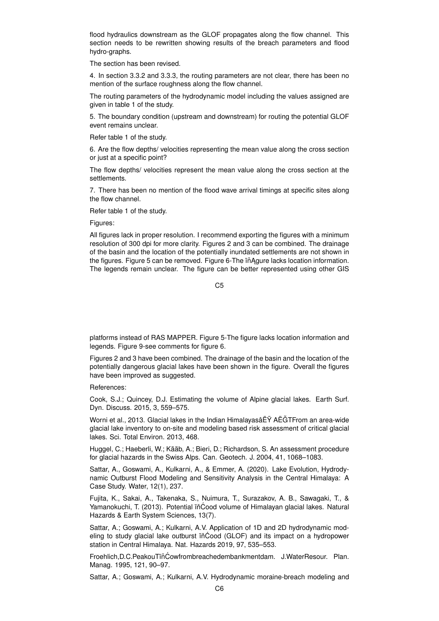flood hydraulics downstream as the GLOF propagates along the flow channel. This section needs to be rewritten showing results of the breach parameters and flood hydro-graphs.

The section has been revised.

4. In section 3.3.2 and 3.3.3, the routing parameters are not clear, there has been no mention of the surface roughness along the flow channel.

The routing parameters of the hydrodynamic model including the values assigned are given in table 1 of the study.

5. The boundary condition (upstream and downstream) for routing the potential GLOF event remains unclear.

Refer table 1 of the study.

6. Are the flow depths/ velocities representing the mean value along the cross section or just at a specific point?

The flow depths/ velocities represent the mean value along the cross section at the settlements.

7. There has been no mention of the flood wave arrival timings at specific sites along the flow channel.

Refer table 1 of the study.

Figures:

All figures lack in proper resolution. I recommend exporting the figures with a minimum resolution of 300 dpi for more clarity. Figures 2 and 3 can be combined. The drainage of the basin and the location of the potentially inundated settlements are not shown in the figures. Figure 5 can be removed. Figure 6-The in Agure lacks location information. The legends remain unclear. The figure can be better represented using other GIS

C5

platforms instead of RAS MAPPER. Figure 5-The figure lacks location information and legends. Figure 9-see comments for figure 6.

Figures 2 and 3 have been combined. The drainage of the basin and the location of the potentially dangerous glacial lakes have been shown in the figure. Overall the figures have been improved as suggested.

References:

Cook, S.J.; Quincey, D.J. Estimating the volume of Alpine glacial lakes. Earth Surf. Dyn. Discuss. 2015, 3, 559–575.

Worni et al., 2013. Glacial lakes in the Indian HimalayasâËŸ AËĞTFrom an area-wide glacial lake inventory to on-site and modeling based risk assessment of critical glacial lakes. Sci. Total Environ. 2013, 468.

Huggel, C.; Haeberli, W.; Kääb, A.; Bieri, D.; Richardson, S. An assessment procedure for glacial hazards in the Swiss Alps. Can. Geotech. J. 2004, 41, 1068–1083.

Sattar, A., Goswami, A., Kulkarni, A., & Emmer, A. (2020). Lake Evolution, Hydrodynamic Outburst Flood Modeling and Sensitivity Analysis in the Central Himalaya: A Case Study. Water, 12(1), 237.

Fujita, K., Sakai, A., Takenaka, S., Nuimura, T., Surazakov, A. B., Sawagaki, T., & Yamanokuchi, T. (2013). Potential iňĆood volume of Himalayan glacial lakes. Natural Hazards & Earth System Sciences, 13(7).

Sattar, A.; Goswami, A.; Kulkarni, A.V. Application of 1D and 2D hydrodynamic modeling to study glacial lake outburst iñĆood (GLOF) and its impact on a hydropower station in Central Himalaya. Nat. Hazards 2019, 97, 535–553.

Froehlich,D.C.PeakouTiňĆowfrombreachedembankmentdam. J.WaterResour. Plan. Manag. 1995, 121, 90–97.

Sattar, A.; Goswami, A.; Kulkarni, A.V. Hydrodynamic moraine-breach modeling and